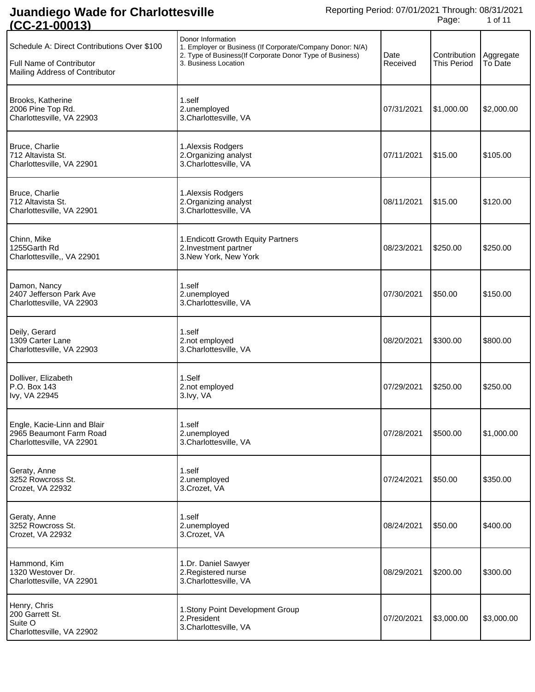| Schedule A: Direct Contributions Over \$100<br>Full Name of Contributor<br>Mailing Address of Contributor | Donor Information<br>1. Employer or Business (If Corporate/Company Donor: N/A)<br>2. Type of Business (If Corporate Donor Type of Business)<br>3. Business Location | Date<br>Received | Contribution<br><b>This Period</b> | Aggregate<br>To Date |
|-----------------------------------------------------------------------------------------------------------|---------------------------------------------------------------------------------------------------------------------------------------------------------------------|------------------|------------------------------------|----------------------|
| Brooks, Katherine<br>2006 Pine Top Rd.<br>Charlottesville, VA 22903                                       | 1.self<br>2.unemployed<br>3. Charlottesville, VA                                                                                                                    | 07/31/2021       | \$1,000.00                         | \$2,000.00           |
| Bruce, Charlie<br>712 Altavista St.<br>Charlottesville, VA 22901                                          | 1. Alexsis Rodgers<br>2. Organizing analyst<br>3. Charlottesville, VA                                                                                               | 07/11/2021       | \$15.00                            | \$105.00             |
| Bruce, Charlie<br>712 Altavista St.<br>Charlottesville, VA 22901                                          | 1. Alexsis Rodgers<br>2. Organizing analyst<br>3.Charlottesville, VA                                                                                                | 08/11/2021       | \$15.00                            | \$120.00             |
| Chinn, Mike<br>1255Garth Rd<br>Charlottesville,, VA 22901                                                 | 1. Endicott Growth Equity Partners<br>2. Investment partner<br>3. New York, New York                                                                                | 08/23/2021       | \$250.00                           | \$250.00             |
| Damon, Nancy<br>2407 Jefferson Park Ave<br>Charlottesville, VA 22903                                      | 1.self<br>2.unemployed<br>3.Charlottesville, VA                                                                                                                     | 07/30/2021       | \$50.00                            | \$150.00             |
| Deily, Gerard<br>1309 Carter Lane<br>Charlottesville, VA 22903                                            | 1.self<br>2.not employed<br>3.Charlottesville, VA                                                                                                                   | 08/20/2021       | \$300.00                           | \$800.00             |
| Dolliver, Elizabeth<br>P.O. Box 143<br>Ivy, VA 22945                                                      | 1.Self<br>2.not employed<br>3.lvy, VA                                                                                                                               | 07/29/2021       | \$250.00                           | \$250.00             |
| Engle, Kacie-Linn and Blair<br>2965 Beaumont Farm Road<br>Charlottesville, VA 22901                       | 1.self<br>2.unemployed<br>3.Charlottesville, VA                                                                                                                     | 07/28/2021       | \$500.00                           | \$1,000.00           |
| Geraty, Anne<br>3252 Rowcross St.<br>Crozet, VA 22932                                                     | 1.self<br>2.unemployed<br>3.Crozet, VA                                                                                                                              | 07/24/2021       | \$50.00                            | \$350.00             |
| Geraty, Anne<br>3252 Rowcross St.<br>Crozet, VA 22932                                                     | 1.self<br>2.unemployed<br>3.Crozet, VA                                                                                                                              | 08/24/2021       | \$50.00                            | \$400.00             |
| Hammond, Kim<br>1320 Westover Dr.<br>Charlottesville, VA 22901                                            | 1.Dr. Daniel Sawyer<br>2. Registered nurse<br>3.Charlottesville, VA                                                                                                 | 08/29/2021       | \$200.00                           | \$300.00             |
| Henry, Chris<br>200 Garrett St.<br>Suite O<br>Charlottesville, VA 22902                                   | 1. Stony Point Development Group<br>2.President<br>3. Charlottesville, VA                                                                                           | 07/20/2021       | \$3,000.00                         | \$3,000.00           |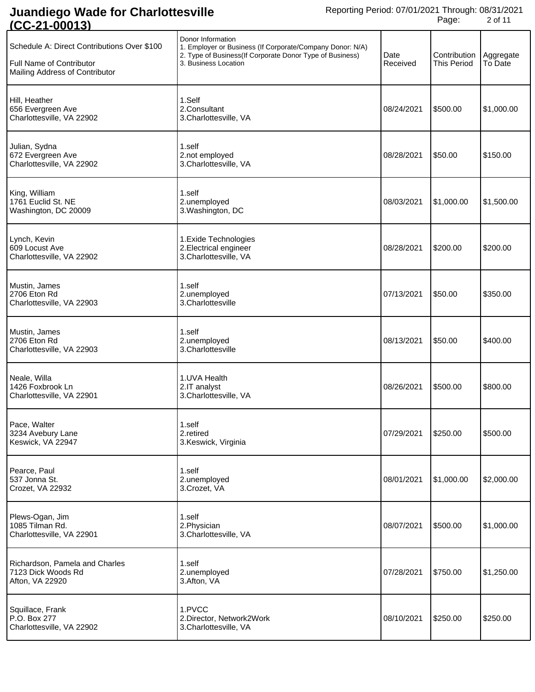| <u>1 UU LE 1 TUUU 1 U</u>                                                                                        |                                                                                                                                                                     |                  |                                    |                      |
|------------------------------------------------------------------------------------------------------------------|---------------------------------------------------------------------------------------------------------------------------------------------------------------------|------------------|------------------------------------|----------------------|
| Schedule A: Direct Contributions Over \$100<br><b>Full Name of Contributor</b><br>Mailing Address of Contributor | Donor Information<br>1. Employer or Business (If Corporate/Company Donor: N/A)<br>2. Type of Business (If Corporate Donor Type of Business)<br>3. Business Location | Date<br>Received | Contribution<br><b>This Period</b> | Aggregate<br>To Date |
| Hill, Heather<br>656 Evergreen Ave<br>Charlottesville, VA 22902                                                  | 1.Self<br>2.Consultant<br>3.Charlottesville, VA                                                                                                                     | 08/24/2021       | \$500.00                           | \$1,000.00           |
| Julian, Sydna<br>672 Evergreen Ave<br>Charlottesville, VA 22902                                                  | 1.self<br>2.not employed<br>3.Charlottesville, VA                                                                                                                   | 08/28/2021       | \$50.00                            | \$150.00             |
| King, William<br>1761 Euclid St. NE<br>Washington, DC 20009                                                      | 1.self<br>2.unemployed<br>3. Washington, DC                                                                                                                         | 08/03/2021       | \$1,000.00                         | \$1,500.00           |
| Lynch, Kevin<br>609 Locust Ave<br>Charlottesville, VA 22902                                                      | 1. Exide Technologies<br>2. Electrical engineer<br>3.Charlottesville, VA                                                                                            | 08/28/2021       | \$200.00                           | \$200.00             |
| Mustin, James<br>2706 Eton Rd<br>Charlottesville, VA 22903                                                       | 1.self<br>2.unemployed<br>3.Charlottesville                                                                                                                         | 07/13/2021       | \$50.00                            | \$350.00             |
| Mustin, James<br>2706 Eton Rd<br>Charlottesville, VA 22903                                                       | 1.self<br>2.unemployed<br>3. Charlottesville                                                                                                                        | 08/13/2021       | \$50.00                            | \$400.00             |
| Neale, Willa<br>1426 Foxbrook Ln<br>Charlottesville, VA 22901                                                    | 1.UVA Health<br>2.IT analyst<br>3.Charlottesville, VA                                                                                                               | 08/26/2021       | \$500.00                           | \$800.00             |
| Pace, Walter<br>3234 Avebury Lane<br>Keswick, VA 22947                                                           | 1.self<br>2.retired<br>3.Keswick, Virginia                                                                                                                          | 07/29/2021       | \$250.00                           | \$500.00             |
| Pearce, Paul<br>537 Jonna St.<br>Crozet, VA 22932                                                                | 1.self<br>2.unemployed<br>3.Crozet, VA                                                                                                                              | 08/01/2021       | \$1,000.00                         | \$2,000.00           |
| Plews-Ogan, Jim<br>1085 Tilman Rd.<br>Charlottesville, VA 22901                                                  | 1.self<br>2. Physician<br>3. Charlottesville, VA                                                                                                                    | 08/07/2021       | \$500.00                           | \$1,000.00           |
| Richardson, Pamela and Charles<br>7123 Dick Woods Rd<br>Afton, VA 22920                                          | 1.self<br>2.unemployed<br>3.Afton, VA                                                                                                                               | 07/28/2021       | \$750.00                           | \$1,250.00           |
| Squillace, Frank<br>P.O. Box 277<br>Charlottesville, VA 22902                                                    | 1.PVCC<br>2. Director, Network2Work<br>3. Charlottesville, VA                                                                                                       | 08/10/2021       | \$250.00                           | \$250.00             |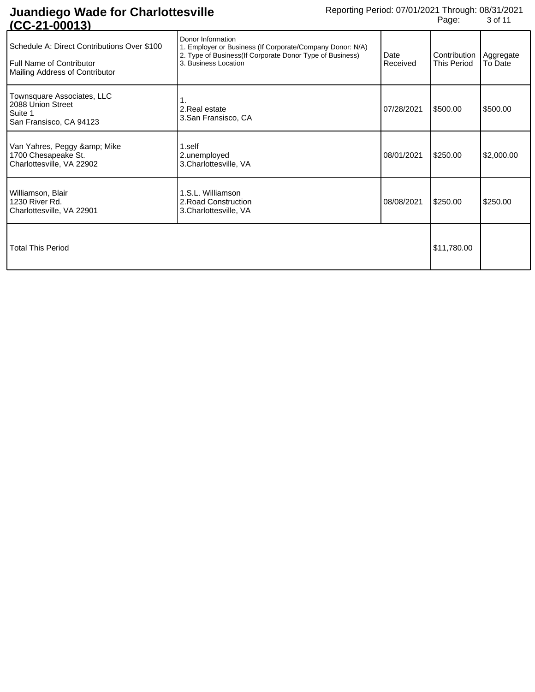| 161000137                                                                                                          |                                                                                                                                                                    |                  |                                                |            |
|--------------------------------------------------------------------------------------------------------------------|--------------------------------------------------------------------------------------------------------------------------------------------------------------------|------------------|------------------------------------------------|------------|
| Schedule A: Direct Contributions Over \$100<br><b>I</b> Full Name of Contributor<br>Mailing Address of Contributor | Donor Information<br>1. Employer or Business (If Corporate/Company Donor: N/A)<br>2. Type of Business(If Corporate Donor Type of Business)<br>3. Business Location | Date<br>Received | Contribution   Aggregate<br><b>This Period</b> | To Date    |
| Townsquare Associates, LLC<br>2088 Union Street<br>Suite 1<br>San Fransisco, CA 94123                              | 2. Real estate<br>3.San Fransisco, CA                                                                                                                              | 07/28/2021       | \$500.00                                       | \$500.00   |
| Van Yahres, Peggy & Mike<br>1700 Chesapeake St.<br>Charlottesville, VA 22902                                       | 1.self<br>2.unemployed<br>3.Charlottesville, VA                                                                                                                    | 08/01/2021       | \$250.00                                       | \$2,000.00 |
| Williamson, Blair<br>1230 River Rd.<br>Charlottesville, VA 22901                                                   | 1.S.L. Williamson<br>2. Road Construction<br>3. Charlottesville, VA                                                                                                | 08/08/2021       | \$250.00                                       | \$250.00   |
| <b>Total This Period</b>                                                                                           |                                                                                                                                                                    |                  | \$11,780.00                                    |            |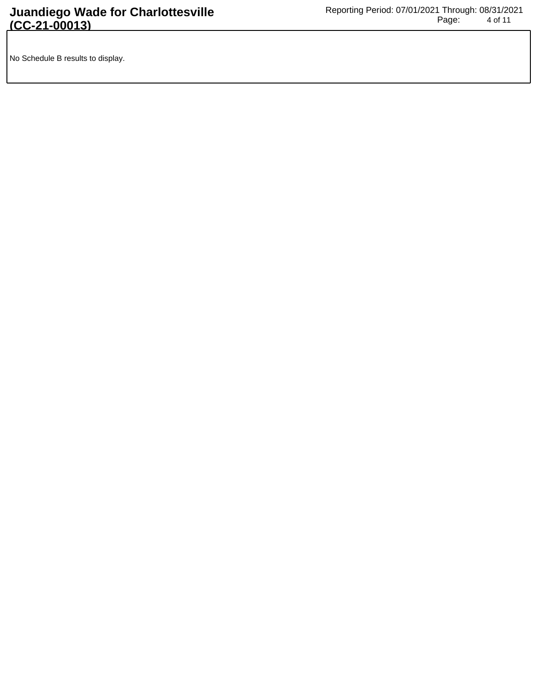No Schedule B results to display.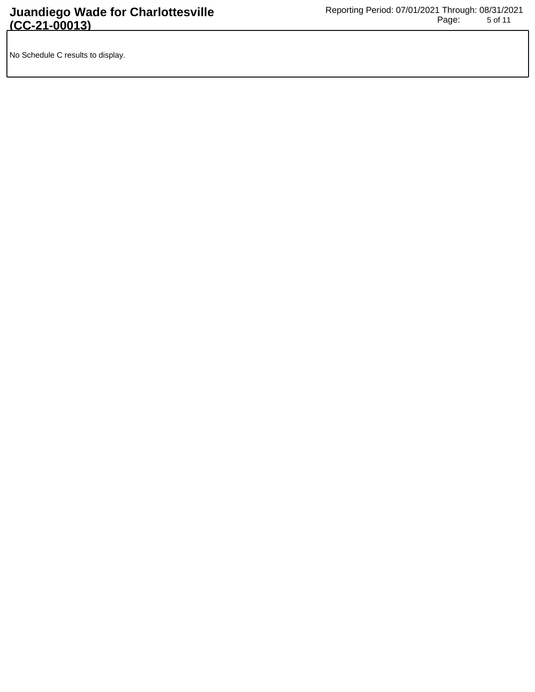No Schedule C results to display.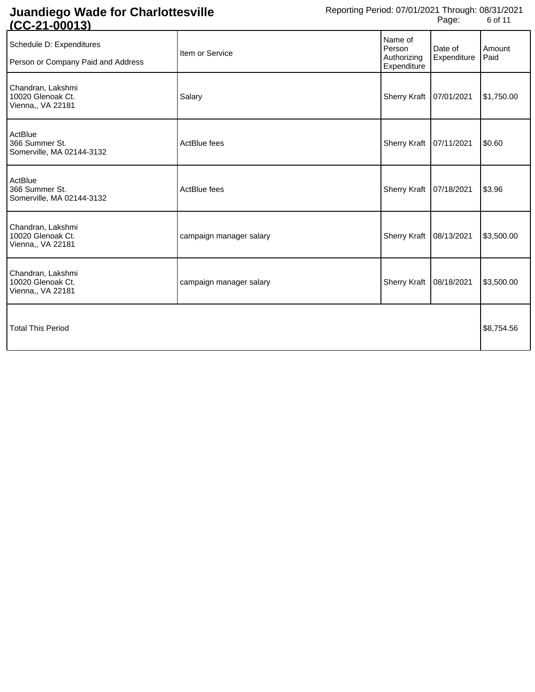| Item or Service         | Name of<br>Person<br>Authorizing<br>Expenditure | Date of<br>Expenditure | Amount<br>Paid                                                                    |
|-------------------------|-------------------------------------------------|------------------------|-----------------------------------------------------------------------------------|
| Salary                  | <b>Sherry Kraft</b>                             |                        | \$1,750.00                                                                        |
| ActBlue fees            | <b>Sherry Kraft</b>                             |                        | \$0.60                                                                            |
| ActBlue fees            |                                                 |                        | \$3.96                                                                            |
| campaign manager salary | <b>Sherry Kraft</b>                             |                        | \$3,500.00                                                                        |
| campaign manager salary | <b>Sherry Kraft</b>                             |                        | \$3,500.00                                                                        |
|                         |                                                 |                        | \$8,754.56                                                                        |
|                         |                                                 |                        | 07/01/2021<br>07/11/2021<br>Sherry Kraft   07/18/2021<br>08/13/2021<br>08/18/2021 |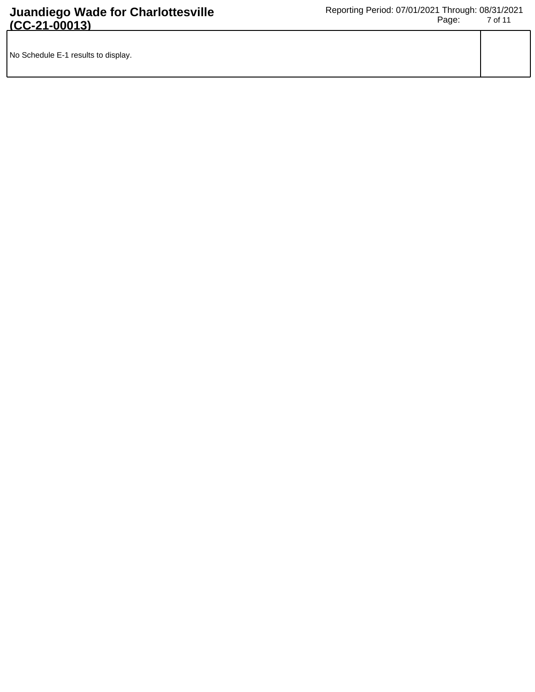| No Schedule E-1 results to display. |  |
|-------------------------------------|--|
|                                     |  |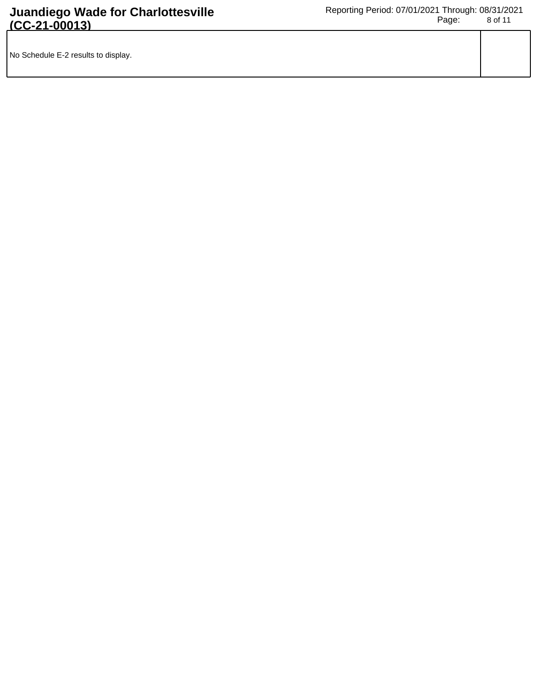| No Schedule E-2 results to display. |  |
|-------------------------------------|--|
|                                     |  |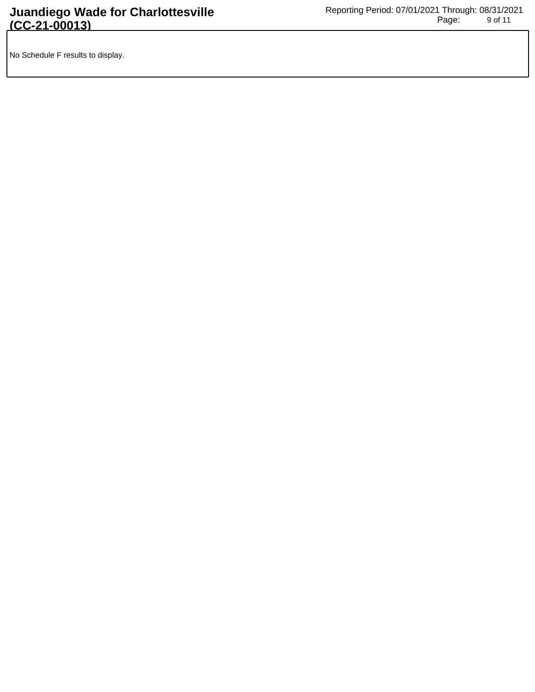No Schedule F results to display.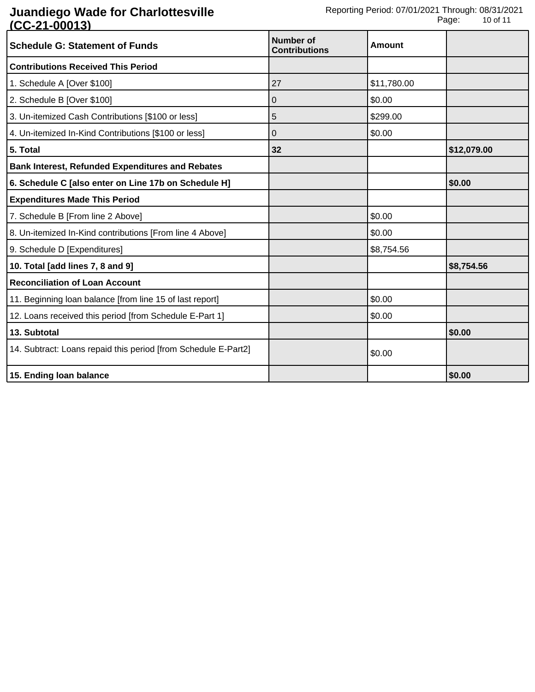| <b>Schedule G: Statement of Funds</b>                          | Number of<br><b>Contributions</b> | <b>Amount</b> |             |
|----------------------------------------------------------------|-----------------------------------|---------------|-------------|
| <b>Contributions Received This Period</b>                      |                                   |               |             |
| 1. Schedule A [Over \$100]                                     | 27                                | \$11,780.00   |             |
| 2. Schedule B [Over \$100]                                     | 0                                 | \$0.00        |             |
| 3. Un-itemized Cash Contributions [\$100 or less]              | 5                                 | \$299.00      |             |
| 4. Un-itemized In-Kind Contributions [\$100 or less]           | 0                                 | \$0.00        |             |
| 5. Total                                                       | 32                                |               | \$12,079.00 |
| <b>Bank Interest, Refunded Expenditures and Rebates</b>        |                                   |               |             |
| 6. Schedule C [also enter on Line 17b on Schedule H]           |                                   |               | \$0.00      |
| <b>Expenditures Made This Period</b>                           |                                   |               |             |
| 7. Schedule B [From line 2 Above]                              |                                   | \$0.00        |             |
| 8. Un-itemized In-Kind contributions [From line 4 Above]       |                                   | \$0.00        |             |
| 9. Schedule D [Expenditures]                                   |                                   | \$8,754.56    |             |
| 10. Total [add lines 7, 8 and 9]                               |                                   |               | \$8,754.56  |
| <b>Reconciliation of Loan Account</b>                          |                                   |               |             |
| 11. Beginning loan balance [from line 15 of last report]       |                                   | \$0.00        |             |
| 12. Loans received this period [from Schedule E-Part 1]        |                                   | \$0.00        |             |
| 13. Subtotal                                                   |                                   |               | \$0.00      |
| 14. Subtract: Loans repaid this period [from Schedule E-Part2] |                                   | \$0.00        |             |
| 15. Ending loan balance                                        |                                   |               | \$0.00      |